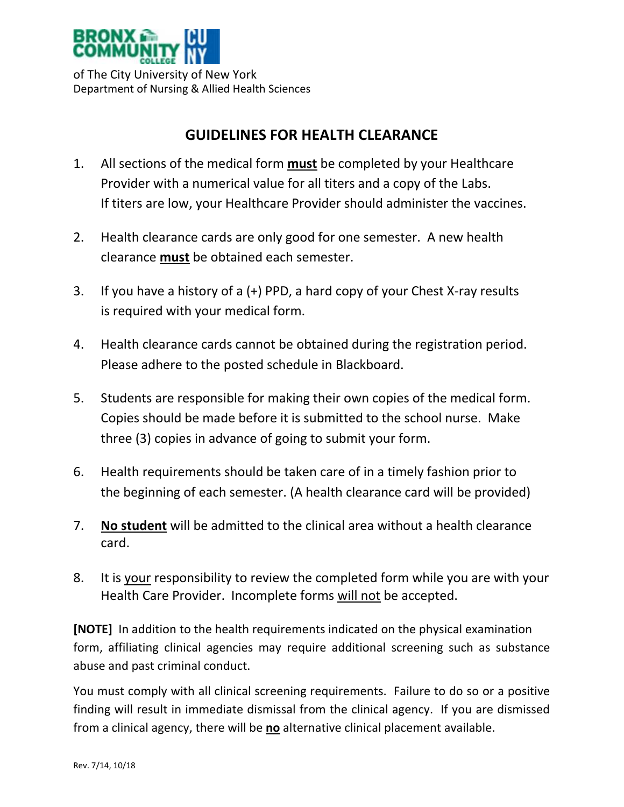

of The City University of New York Department of Nursing & Allied Health Sciences

## **GUIDELINES FOR HEALTH CLEARANCE**

- 1. All sections of the medical form **must** be completed by your Healthcare Provider with a numerical value for all titers and a copy of the Labs. If titers are low, your Healthcare Provider should administer the vaccines.
- 2. Health clearance cards are only good for one semester. A new health clearance **must** be obtained each semester.
- 3. If you have a history of a (+) PPD, a hard copy of your Chest X-ray results is required with your medical form.
- 4. Health clearance cards cannot be obtained during the registration period. Please adhere to the posted schedule in Blackboard.
- 5. Students are responsible for making their own copies of the medical form. Copies should be made before it is submitted to the school nurse. Make three (3) copies in advance of going to submit your form.
- 6. Health requirements should be taken care of in a timely fashion prior to the beginning of each semester. (A health clearance card will be provided)
- 7. **No student** will be admitted to the clinical area without a health clearance card.
- 8. It is your responsibility to review the completed form while you are with your Health Care Provider. Incomplete forms will not be accepted.

**[NOTE]** In addition to the health requirements indicated on the physical examination form, affiliating clinical agencies may require additional screening such as substance abuse and past criminal conduct.

You must comply with all clinical screening requirements. Failure to do so or a positive finding will result in immediate dismissal from the clinical agency. If you are dismissed from a clinical agency, there will be **no** alternative clinical placement available.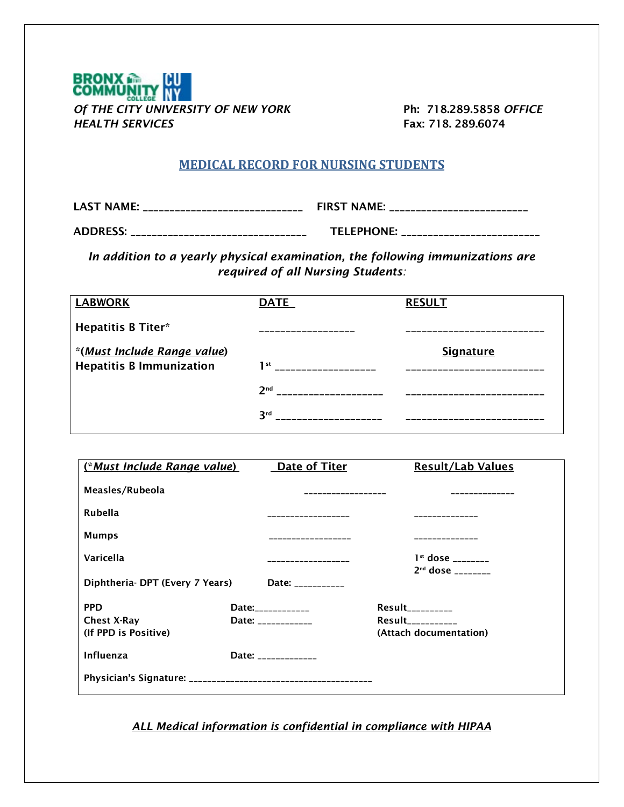

## **MEDICAL RECORD FOR NURSING STUDENTS**

LAST NAME: \_\_\_\_\_\_\_\_\_\_\_\_\_\_\_\_\_\_\_\_\_\_\_\_\_\_\_\_\_\_ FIRST NAME: \_\_\_\_\_\_\_\_\_\_\_\_\_\_\_\_\_\_\_\_\_\_\_\_\_\_

ADDRESS: \_\_\_\_\_\_\_\_\_\_\_\_\_\_\_\_\_\_\_\_\_\_\_\_\_\_\_\_\_\_\_\_\_ TELEPHONE: \_\_\_\_\_\_\_\_\_\_\_\_\_\_\_\_\_\_\_\_\_\_\_\_\_\_

*In addition to a yearly physical examination, the following immunizations are required of all Nursing Students:*

| <b>LABWORK</b>                  | <b>DATE</b>     | <b>RESULT</b> |
|---------------------------------|-----------------|---------------|
| <b>Hepatitis B Titer*</b>       |                 |               |
| *(Must Include Range value)     |                 | Signature     |
| <b>Hepatitis B Immunization</b> | 1st             |               |
|                                 | 2 <sup>nd</sup> |               |
|                                 | <b>Rrd</b>      |               |

| (*Must Include Range value)    | Date of Titer      | <b>Result/Lab Values</b>        |
|--------------------------------|--------------------|---------------------------------|
| Measles/Rubeola                | --------------     |                                 |
| Rubella                        |                    |                                 |
| <b>Mumps</b>                   |                    |                                 |
| Varicella                      |                    | $1st$ dose                      |
| Diphtheria-DPT (Every 7 Years) | Date: ____________ | $2nd$ dose                      |
| <b>PPD</b>                     | Date:____________  | $Result$ <sub>___________</sub> |
| <b>Chest X-Ray</b>             | Date: ____________ | Result <b>Result</b>            |
| (If PPD is Positive)           |                    | (Attach documentation)          |
| Influenza                      | Date: ____________ |                                 |
|                                |                    |                                 |

*ALL Medical information is confidential in compliance with HIPAA*